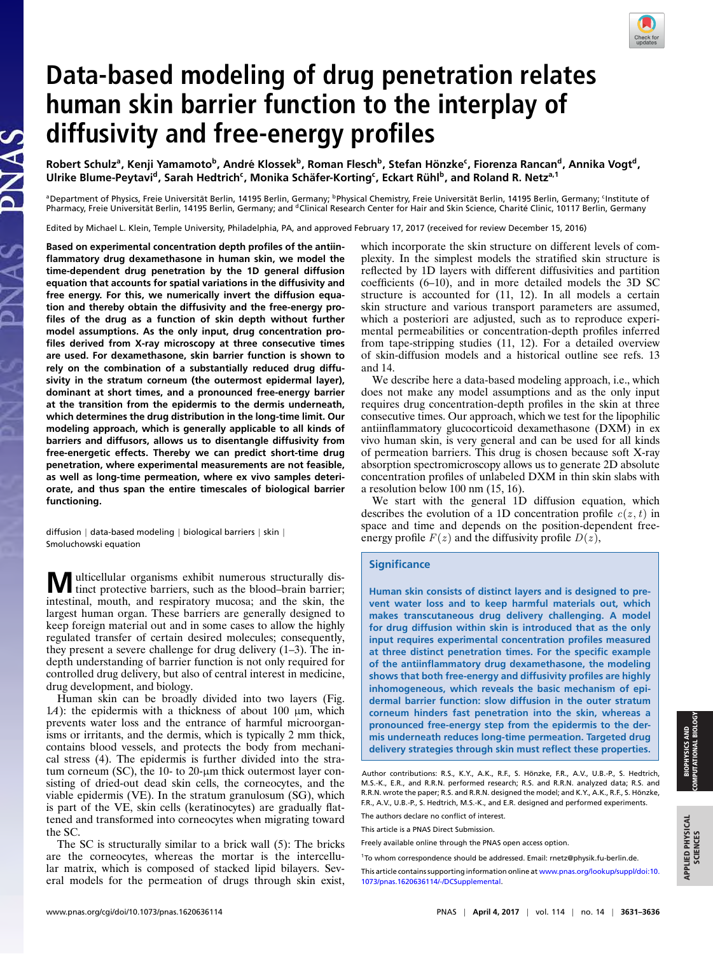# **Data-based modeling of drug penetration relates human skin barrier function to the interplay of diffusivity and free-energy profiles**

Robert Schulz<sup>a</sup>, Kenji Yamamoto<sup>b</sup>, André Klossek<sup>b</sup>, Roman Flesch<sup>b</sup>, Stefan Hönzke<sup>c</sup>, Fiorenza Rancan<sup>d</sup>, Annika Vogt<sup>d</sup>,  ${\bf U}$ lrike Blume-Peytavi<sup>d</sup>, Sarah Hedtrich<code>ʿ, Monika Schäfer-Korting</code>  $\cdot$  , Eckart Rühl<code>b</code> , and Roland R. Netz ${\rm a}$  1

ªDepartment of Physics, Freie Universität Berlin, 14195 Berlin, Germany; <sup>b</sup>Physical Chemistry, Freie Universität Berlin, 14195 Berlin, Germany; <sup>c</sup>Institute of<br>Pharmacy, Freie Universität Berlin, 14195 Berlin, Germany; an

Edited by Michael L. Klein, Temple University, Philadelphia, PA, and approved February 17, 2017 (received for review December 15, 2016)

**Based on experimental concentration depth profiles of the antiinflammatory drug dexamethasone in human skin, we model the time-dependent drug penetration by the 1D general diffusion equation that accounts for spatial variations in the diffusivity and free energy. For this, we numerically invert the diffusion equation and thereby obtain the diffusivity and the free-energy profiles of the drug as a function of skin depth without further model assumptions. As the only input, drug concentration profiles derived from X-ray microscopy at three consecutive times are used. For dexamethasone, skin barrier function is shown to rely on the combination of a substantially reduced drug diffusivity in the stratum corneum (the outermost epidermal layer), dominant at short times, and a pronounced free-energy barrier at the transition from the epidermis to the dermis underneath, which determines the drug distribution in the long-time limit. Our modeling approach, which is generally applicable to all kinds of barriers and diffusors, allows us to disentangle diffusivity from free-energetic effects. Thereby we can predict short-time drug penetration, where experimental measurements are not feasible, as well as long-time permeation, where ex vivo samples deteriorate, and thus span the entire timescales of biological barrier functioning.**

diffusion | data-based modeling | biological barriers | skin | Smoluchowski equation

**M**ulticellular organisms exhibit numerous structurally distinct protective barriers, such as the blood–brain barrier; intestinal, mouth, and respiratory mucosa; and the skin, the largest human organ. These barriers are generally designed to keep foreign material out and in some cases to allow the highly regulated transfer of certain desired molecules; consequently, they present a severe challenge for drug delivery (1–3). The indepth understanding of barrier function is not only required for controlled drug delivery, but also of central interest in medicine, drug development, and biology.

Human skin can be broadly divided into two layers (Fig. 1*A*): the epidermis with a thickness of about 100  $\mu$ m, which prevents water loss and the entrance of harmful microorganisms or irritants, and the dermis, which is typically 2 mm thick, contains blood vessels, and protects the body from mechanical stress (4). The epidermis is further divided into the stratum corneum (SC), the 10- to 20-µm thick outermost layer consisting of dried-out dead skin cells, the corneocytes, and the viable epidermis (VE). In the stratum granulosum (SG), which is part of the VE, skin cells (keratinocytes) are gradually flattened and transformed into corneocytes when migrating toward the SC.

The SC is structurally similar to a brick wall (5): The bricks are the corneocytes, whereas the mortar is the intercellular matrix, which is composed of stacked lipid bilayers. Several models for the permeation of drugs through skin exist,

which incorporate the skin structure on different levels of complexity. In the simplest models the stratified skin structure is reflected by 1D layers with different diffusivities and partition coefficients (6–10), and in more detailed models the 3D SC structure is accounted for (11, 12). In all models a certain skin structure and various transport parameters are assumed, which a posteriori are adjusted, such as to reproduce experimental permeabilities or concentration-depth profiles inferred from tape-stripping studies (11, 12). For a detailed overview of skin-diffusion models and a historical outline see refs. 13 and 14.

We describe here a data-based modeling approach, i.e., which does not make any model assumptions and as the only input requires drug concentration-depth profiles in the skin at three consecutive times. Our approach, which we test for the lipophilic antiinflammatory glucocorticoid dexamethasone (DXM) in ex vivo human skin, is very general and can be used for all kinds of permeation barriers. This drug is chosen because soft X-ray absorption spectromicroscopy allows us to generate 2D absolute concentration profiles of unlabeled DXM in thin skin slabs with a resolution below 100 nm (15, 16).

We start with the general 1D diffusion equation, which describes the evolution of a 1D concentration profile  $c(z, t)$  in space and time and depends on the position-dependent freeenergy profile  $F(z)$  and the diffusivity profile  $D(z)$ ,

## **Significance**

**Human skin consists of distinct layers and is designed to prevent water loss and to keep harmful materials out, which makes transcutaneous drug delivery challenging. A model for drug diffusion within skin is introduced that as the only input requires experimental concentration profiles measured at three distinct penetration times. For the specific example of the antiinflammatory drug dexamethasone, the modeling shows that both free-energy and diffusivity profiles are highly inhomogeneous, which reveals the basic mechanism of epidermal barrier function: slow diffusion in the outer stratum corneum hinders fast penetration into the skin, whereas a pronounced free-energy step from the epidermis to the dermis underneath reduces long-time permeation. Targeted drug delivery strategies through skin must reflect these properties.**

<sup>1</sup> To whom correspondence should be addressed. Email: [rnetz@physik.fu-berlin.de.](mailto:rnetz@physik.fu-berlin.de)

APPLIED PHYSICAL APPLIED PHYSICAL<br>SCIENCES

Author contributions: R.S., K.Y., A.K., R.F., S. Hönzke, F.R., A.V., U.B.-P., S. Hedtrich, M.S.-K., E.R., and R.R.N. performed research; R.S. and R.R.N. analyzed data; R.S. and R.R.N. wrote the paper; R.S. and R.R.N. designed the model; and K.Y., A.K., R.F., S. Hönzke, F.R., A.V., U.B.-P., S. Hedtrich, M.S.-K., and E.R. designed and performed experiments.

The authors declare no conflict of interest.

This article is a PNAS Direct Submission.

Freely available online through the PNAS open access option.

This article contains supporting information online at [www.pnas.org/lookup/suppl/doi:10.](http://www.pnas.org/lookup/suppl/doi:10.1073/pnas.1620636114/-/DCSupplemental) [1073/pnas.1620636114/-/DCSupplemental.](http://www.pnas.org/lookup/suppl/doi:10.1073/pnas.1620636114/-/DCSupplemental)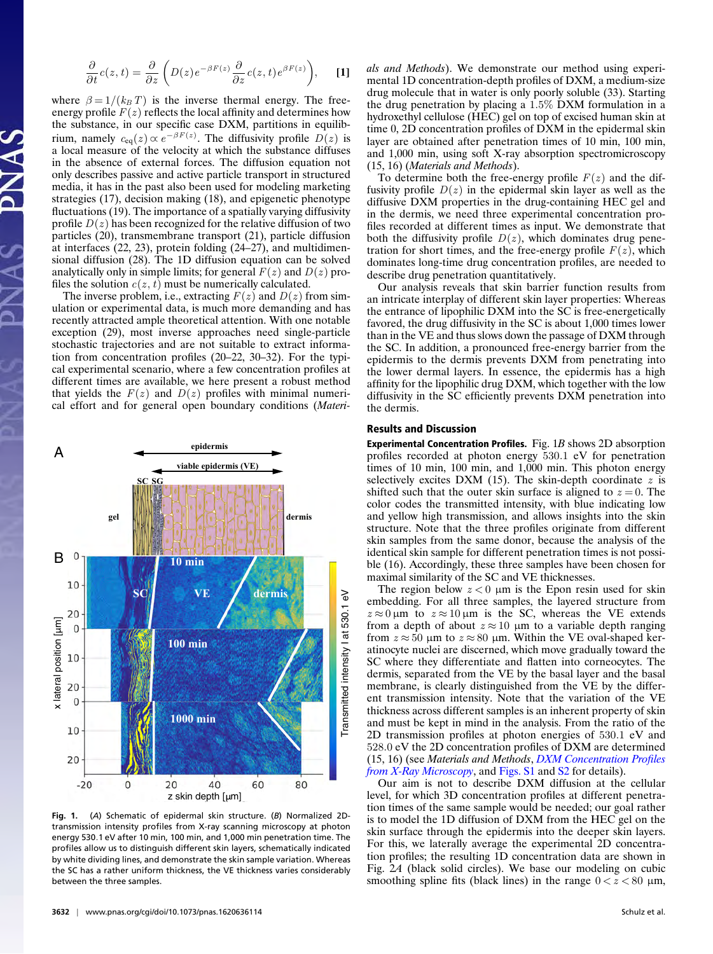$$
\frac{\partial}{\partial t}c(z,t) = \frac{\partial}{\partial z}\left(D(z)e^{-\beta F(z)}\frac{\partial}{\partial z}c(z,t)e^{\beta F(z)}\right),\quad [1]
$$

where  $\beta = 1/(k_B T)$  is the inverse thermal energy. The freeenergy profile  $F(z)$  reflects the local affinity and determines how the substance, in our specific case DXM, partitions in equilibrium, namely  $c_{eq}(z) \propto e^{-\beta F(z)}$ . The diffusivity profile  $D(z)$  is a local measure of the velocity at which the substance diffuses in the absence of external forces. The diffusion equation not only describes passive and active particle transport in structured media, it has in the past also been used for modeling marketing strategies (17), decision making (18), and epigenetic phenotype fluctuations (19). The importance of a spatially varying diffusivity profile  $D(z)$  has been recognized for the relative diffusion of two particles (20), transmembrane transport (21), particle diffusion at interfaces (22, 23), protein folding (24–27), and multidimensional diffusion (28). The 1D diffusion equation can be solved analytically only in simple limits; for general  $F(z)$  and  $D(z)$  profiles the solution  $c(z, t)$  must be numerically calculated.

The inverse problem, i.e., extracting  $F(z)$  and  $D(z)$  from simulation or experimental data, is much more demanding and has recently attracted ample theoretical attention. With one notable exception (29), most inverse approaches need single-particle stochastic trajectories and are not suitable to extract information from concentration profiles (20–22, 30–32). For the typical experimental scenario, where a few concentration profiles at different times are available, we here present a robust method that yields the  $F(z)$  and  $D(z)$  profiles with minimal numerical effort and for general open boundary conditions (*Materi-*



**Fig. 1.** (*A*) Schematic of epidermal skin structure. (*B*) Normalized 2Dtransmission intensity profiles from X-ray scanning microscopy at photon energy 530.1 eV after 10 min, 100 min, and 1,000 min penetration time. The profiles allow us to distinguish different skin layers, schematically indicated by white dividing lines, and demonstrate the skin sample variation. Whereas the SC has a rather uniform thickness, the VE thickness varies considerably between the three samples.

*als and Methods*). We demonstrate our method using experimental 1D concentration-depth profiles of DXM, a medium-size drug molecule that in water is only poorly soluble (33). Starting the drug penetration by placing a 1.5% DXM formulation in a hydroxethyl cellulose (HEC) gel on top of excised human skin at time 0, 2D concentration profiles of DXM in the epidermal skin layer are obtained after penetration times of 10 min, 100 min, and 1,000 min, using soft X-ray absorption spectromicroscopy (15, 16) (*Materials and Methods*).

To determine both the free-energy profile  $F(z)$  and the diffusivity profile  $D(z)$  in the epidermal skin layer as well as the diffusive DXM properties in the drug-containing HEC gel and in the dermis, we need three experimental concentration profiles recorded at different times as input. We demonstrate that both the diffusivity profile  $D(z)$ , which dominates drug penetration for short times, and the free-energy profile  $F(z)$ , which dominates long-time drug concentration profiles, are needed to describe drug penetration quantitatively.

Our analysis reveals that skin barrier function results from an intricate interplay of different skin layer properties: Whereas the entrance of lipophilic DXM into the SC is free-energetically favored, the drug diffusivity in the SC is about 1,000 times lower than in the VE and thus slows down the passage of DXM through the SC. In addition, a pronounced free-energy barrier from the epidermis to the dermis prevents DXM from penetrating into the lower dermal layers. In essence, the epidermis has a high affinity for the lipophilic drug DXM, which together with the low diffusivity in the SC efficiently prevents DXM penetration into the dermis.

#### Results and Discussion

Experimental Concentration Profiles. Fig. 1*B* shows 2D absorption profiles recorded at photon energy 530.1 eV for penetration times of 10 min, 100 min, and 1,000 min. This photon energy selectively excites DXM (15). The skin-depth coordinate  $z$  is shifted such that the outer skin surface is aligned to  $z = 0$ . The color codes the transmitted intensity, with blue indicating low and yellow high transmission, and allows insights into the skin structure. Note that the three profiles originate from different skin samples from the same donor, because the analysis of the identical skin sample for different penetration times is not possible (16). Accordingly, these three samples have been chosen for maximal similarity of the SC and VE thicknesses.

The region below  $z < 0$  µm is the Epon resin used for skin embedding. For all three samples, the layered structure from  $z \approx 0 \,\text{µm}$  to  $z \approx 10 \,\text{µm}$  is the SC, whereas the VE extends from a depth of about  $z \approx 10 \ \mu m$  to a variable depth ranging from  $z \approx 50$  µm to  $z \approx 80$  µm. Within the VE oval-shaped keratinocyte nuclei are discerned, which move gradually toward the SC where they differentiate and flatten into corneocytes. The dermis, separated from the VE by the basal layer and the basal membrane, is clearly distinguished from the VE by the different transmission intensity. Note that the variation of the VE thickness across different samples is an inherent property of skin and must be kept in mind in the analysis. From the ratio of the 2D transmission profiles at photon energies of 530.1 eV and 528.0 eV the 2D concentration profiles of DXM are determined (15, 16) (see *Materials and Methods*, *[DXM Concentration Profiles](http://www.pnas.org/lookup/suppl/doi:10.1073/pnas.1620636114/-/DCSupplemental/pnas.201620636SI.pdf?targetid=nameddest=STXT) [from X-Ray Microscopy](http://www.pnas.org/lookup/suppl/doi:10.1073/pnas.1620636114/-/DCSupplemental/pnas.201620636SI.pdf?targetid=nameddest=STXT)*, and [Figs. S1](http://www.pnas.org/lookup/suppl/doi:10.1073/pnas.1620636114/-/DCSupplemental/pnas.201620636SI.pdf?targetid=nameddest=SF1) and [S2](http://www.pnas.org/lookup/suppl/doi:10.1073/pnas.1620636114/-/DCSupplemental/pnas.201620636SI.pdf?targetid=nameddest=SF2) for details).

Our aim is not to describe DXM diffusion at the cellular level, for which 3D concentration profiles at different penetration times of the same sample would be needed; our goal rather is to model the 1D diffusion of DXM from the HEC gel on the skin surface through the epidermis into the deeper skin layers. For this, we laterally average the experimental 2D concentration profiles; the resulting 1D concentration data are shown in Fig. 2*A* (black solid circles). We base our modeling on cubic smoothing spline fits (black lines) in the range  $0 < z < 80 \mu m$ ,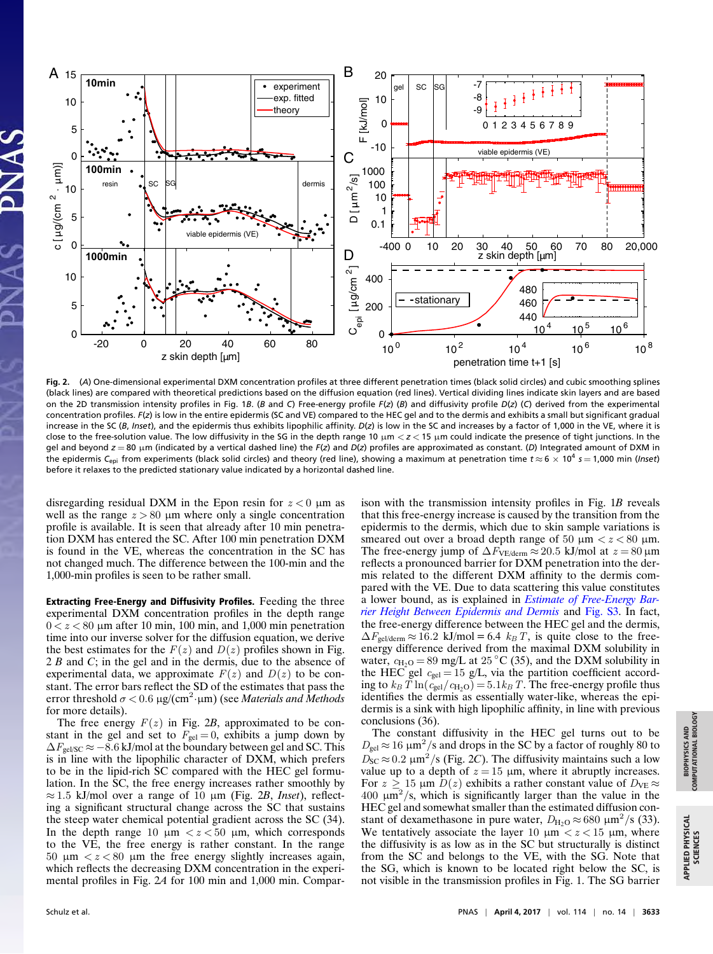

**Fig. 2.** (*A*) One-dimensional experimental DXM concentration profiles at three different penetration times (black solid circles) and cubic smoothing splines (black lines) are compared with theoretical predictions based on the diffusion equation (red lines). Vertical dividing lines indicate skin layers and are based on the 2D transmission intensity profiles in Fig. 1*B*. (*B* and *C*) Free-energy profile *F*(*z*) (*B*) and diffusivity profile *D*(*z*) (*C*) derived from the experimental concentration profiles. *F*(*z*) is low in the entire epidermis (SC and VE) compared to the HEC gel and to the dermis and exhibits a small but significant gradual increase in the SC (*B*, *Inset*), and the epidermis thus exhibits lipophilic affinity. *D*(*z*) is low in the SC and increases by a factor of 1,000 in the VE, where it is close to the free-solution value. The low diffusivity in the SG in the depth range 10 µm < *z* < 15 µm could indicate the presence of tight junctions. In the gel and beyond  $z = 80 \mu m$  (indicated by a vertical dashed line) the  $F(z)$  and  $D(z)$  profiles are approximated as constant. (D) Integrated amount of DXM in the epidermis *C*epi from experiments (black solid circles) and theory (red line), showing a maximum at penetration time *t* ≈ 6 × 10<sup>4</sup> *s* = 1,000 min (*Inset*) before it relaxes to the predicted stationary value indicated by a horizontal dashed line.

disregarding residual DXM in the Epon resin for  $z < 0$  µm as well as the range  $z > 80$  µm where only a single concentration profile is available. It is seen that already after 10 min penetration DXM has entered the SC. After 100 min penetration DXM is found in the VE, whereas the concentration in the SC has not changed much. The difference between the 100-min and the 1,000-min profiles is seen to be rather small.

Extracting Free-Energy and Diffusivity Profiles. Feeding the three experimental DXM concentration profiles in the depth range  $0 < z < 80$  µm after 10 min, 100 min, and 1,000 min penetration time into our inverse solver for the diffusion equation, we derive the best estimates for the  $F(z)$  and  $D(z)$  profiles shown in Fig. 2 *B* and *C*; in the gel and in the dermis, due to the absence of experimental data, we approximate  $F(z)$  and  $D(z)$  to be constant. The error bars reflect the SD of the estimates that pass the error threshold σ < 0.6 µg/(cm<sup>2</sup> ·µm) (see *Materials and Methods* for more details).

The free energy  $F(z)$  in Fig. 2B, approximated to be constant in the gel and set to  $F_{gel} = 0$ , exhibits a jump down by  $\Delta F_{\text{gel/SC}} \approx -8.6$  kJ/mol at the boundary between gel and SC. This is in line with the lipophilic character of DXM, which prefers to be in the lipid-rich SC compared with the HEC gel formulation. In the SC, the free energy increases rather smoothly by ≈ 1.5 kJ/mol over a range of 10 µm (Fig. 2*B*, *Inset*), reflecting a significant structural change across the SC that sustains the steep water chemical potential gradient across the SC (34). In the depth range 10  $\mu$ m  $\lt z \lt 50$   $\mu$ m, which corresponds to the VE, the free energy is rather constant. In the range 50  $\mu$ m  $\lt z \lt 80$   $\mu$ m the free energy slightly increases again, which reflects the decreasing DXM concentration in the experimental profiles in Fig. 2*A* for 100 min and 1,000 min. Compar-

ison with the transmission intensity profiles in Fig. 1*B* reveals that this free-energy increase is caused by the transition from the epidermis to the dermis, which due to skin sample variations is smeared out over a broad depth range of 50  $\mu$ m  $\lt z \lt 80 \mu$ m. The free-energy jump of  $\Delta F_{\text{VE/derm}} \approx 20.5 \text{ kJ/mol}$  at  $z = 80 \text{ }\mu\text{m}$ reflects a pronounced barrier for DXM penetration into the dermis related to the different DXM affinity to the dermis compared with the VE. Due to data scattering this value constitutes a lower bound, as is explained in *[Estimate of Free-Energy Bar](http://www.pnas.org/lookup/suppl/doi:10.1073/pnas.1620636114/-/DCSupplemental/pnas.201620636SI.pdf?targetid=nameddest=STXT)[rier Height Between Epidermis and Dermis](http://www.pnas.org/lookup/suppl/doi:10.1073/pnas.1620636114/-/DCSupplemental/pnas.201620636SI.pdf?targetid=nameddest=STXT)* and [Fig. S3.](http://www.pnas.org/lookup/suppl/doi:10.1073/pnas.1620636114/-/DCSupplemental/pnas.201620636SI.pdf?targetid=nameddest=SF3) In fact, the free-energy difference between the HEC gel and the dermis,  $\Delta F_{gel/derm} \approx 16.2$  kJ/mol = 6.4  $k_B T$ , is quite close to the freeenergy difference derived from the maximal DXM solubility in water,  $c_{H_2O} = 89$  mg/L at 25 °C (35), and the DXM solubility in the HEC gel  $c_{gel} = 15$  g/L, via the partition coefficient according to  $k_B T \ln(c_{gel}/c_{H_2O}) = 5.1 k_B T$ . The free-energy profile thus identifies the dermis as essentially water-like, whereas the epidermis is a sink with high lipophilic affinity, in line with previous conclusions (36).

The constant diffusivity in the HEC gel turns out to be  $D_{gel} \approx 16 \ \mu \text{m}^2/\text{s}$  and drops in the SC by a factor of roughly 80 to  $D_{SC} \approx 0.2 \ \mu m^2/s$  (Fig. 2C). The diffusivity maintains such a low value up to a depth of  $z = 15 \mu m$ , where it abruptly increases. For  $z \ge 15$  µm  $D(z)$  exhibits a rather constant value of  $D_{VE} \approx$  $400 \mu m^2/s$ , which is significantly larger than the value in the HEC gel and somewhat smaller than the estimated diffusion constant of dexamethasone in pure water,  $D_{\text{H}_2\text{O}} \approx 680 \text{ }\mu\text{m}^2/\text{s}$  (33). We tentatively associate the layer 10  $\mu$ m  $\lt z \lt 15$   $\mu$ m, where the diffusivity is as low as in the SC but structurally is distinct from the SC and belongs to the VE, with the SG. Note that the SG, which is known to be located right below the SC, is not visible in the transmission profiles in Fig. 1. The SG barrier

APPLIED PHYSICAL APPLIED PHYSICAL<br>SCIENCES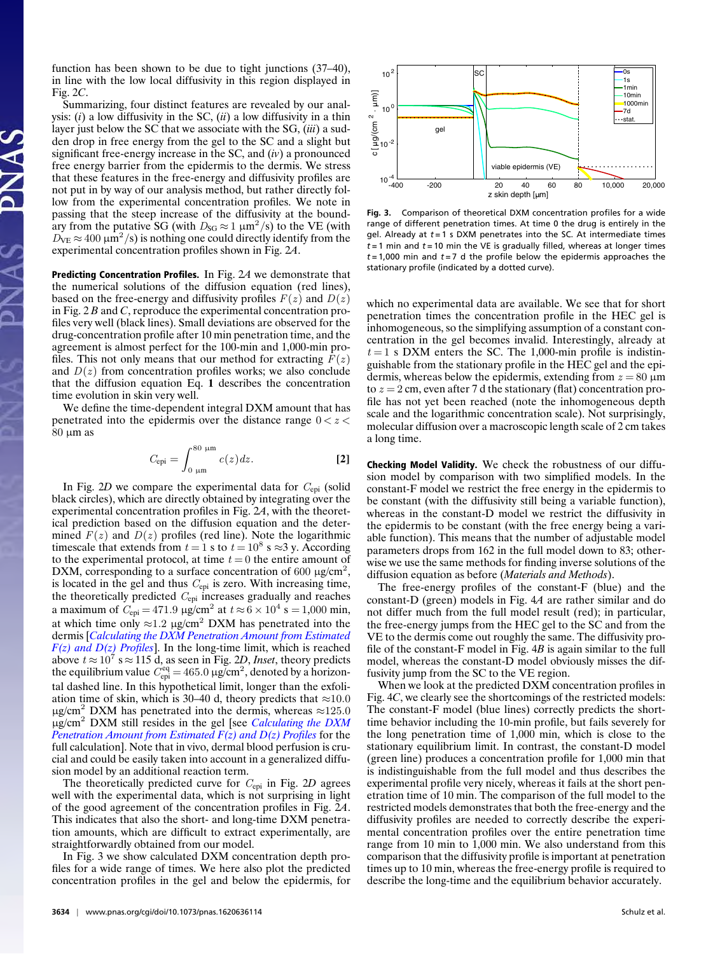function has been shown to be due to tight junctions (37–40), in line with the low local diffusivity in this region displayed in Fig. 2*C*.

Summarizing, four distinct features are revealed by our analysis: (*i*) a low diffusivity in the SC, (*ii*) a low diffusivity in a thin layer just below the SC that we associate with the SG, (*iii*) a sudden drop in free energy from the gel to the SC and a slight but significant free-energy increase in the SC, and (*iv*) a pronounced free energy barrier from the epidermis to the dermis. We stress that these features in the free-energy and diffusivity profiles are not put in by way of our analysis method, but rather directly follow from the experimental concentration profiles. We note in passing that the steep increase of the diffusivity at the boundary from the putative SG (with  $D_{SG} \approx 1 \ \mu m^2/s$ ) to the VE (with  $D_{\text{VE}} \approx 400 \ \mu \text{m}^2/\text{s}$ ) is nothing one could directly identify from the experimental concentration profiles shown in Fig. 2*A*.

Predicting Concentration Profiles. In Fig. 2*A* we demonstrate that the numerical solutions of the diffusion equation (red lines), based on the free-energy and diffusivity profiles  $F(z)$  and  $D(z)$ in Fig. 2 *B* and *C*, reproduce the experimental concentration profiles very well (black lines). Small deviations are observed for the drug-concentration profile after 10 min penetration time, and the agreement is almost perfect for the 100-min and 1,000-min profiles. This not only means that our method for extracting  $F(z)$ and  $D(z)$  from concentration profiles works; we also conclude that the diffusion equation Eq. **1** describes the concentration time evolution in skin very well.

We define the time-dependent integral DXM amount that has penetrated into the epidermis over the distance range  $0 < z <$  $80 \mu m$  as

$$
C_{\rm epi} = \int_{0 \text{ }\mu\text{m}}^{80 \text{ }\mu\text{m}} c(z) dz.
$$
 [2]

In Fig. 2*D* we compare the experimental data for  $C_{epi}$  (solid black circles), which are directly obtained by integrating over the experimental concentration profiles in Fig. 2*A*, with the theoretical prediction based on the diffusion equation and the determined  $F(z)$  and  $D(z)$  profiles (red line). Note the logarithmic timescale that extends from  $t = 1$  s to  $t = 10^8$  s  $\approx$ 3 y. According to the experimental protocol, at time  $t = 0$  the entire amount of DXM, corresponding to a surface concentration of 600  $\mu$ g/cm<sup>2</sup>, is located in the gel and thus  $C_{epi}$  is zero. With increasing time, the theoretically predicted  $C_{epi}$  increases gradually and reaches a maximum of  $C_{epi} = 471.9 \text{ }\mu\text{g/cm}^2$  at  $t \approx 6 \times 10^4 \text{ s} = 1,000 \text{ min}$ , at which time only  $\approx$ 1.2 µg/cm<sup>2</sup> DXM has penetrated into the dermis [*[Calculating the DXM Penetration Amount from Estimated](http://www.pnas.org/lookup/suppl/doi:10.1073/pnas.1620636114/-/DCSupplemental/pnas.201620636SI.pdf?targetid=nameddest=STXT) [F\(z\) and D\(z\) Profiles](http://www.pnas.org/lookup/suppl/doi:10.1073/pnas.1620636114/-/DCSupplemental/pnas.201620636SI.pdf?targetid=nameddest=STXT)*]. In the long-time limit, which is reached above  $t \approx 10^7$  s  $\approx 115$  d, as seen in Fig. 2*D*, *Inset*, theory predicts the equilibrium value  $C_{\text{epi}}^{\text{eq}} = 465.0 \,\mu\text{g/cm}^2$ , denoted by a horizontal dashed line. In this hypothetical limit, longer than the exfoliation time of skin, which is 30–40 d, theory predicts that  $\approx$ 10.0  $\mu$ g/cm<sup>2</sup> DXM has penetrated into the dermis, whereas  $\approx$ 125.0 µg/cm<sup>2</sup> DXM still resides in the gel [see *[Calculating the DXM](http://www.pnas.org/lookup/suppl/doi:10.1073/pnas.1620636114/-/DCSupplemental/pnas.201620636SI.pdf?targetid=nameddest=STXT) [Penetration Amount from Estimated F\(z\) and D\(z\) Profiles](http://www.pnas.org/lookup/suppl/doi:10.1073/pnas.1620636114/-/DCSupplemental/pnas.201620636SI.pdf?targetid=nameddest=STXT)* for the full calculation]. Note that in vivo, dermal blood perfusion is crucial and could be easily taken into account in a generalized diffusion model by an additional reaction term.

The theoretically predicted curve for Cepi in Fig. 2*D* agrees well with the experimental data, which is not surprising in light of the good agreement of the concentration profiles in Fig. 2*A*. This indicates that also the short- and long-time DXM penetration amounts, which are difficult to extract experimentally, are straightforwardly obtained from our model.

In Fig. 3 we show calculated DXM concentration depth profiles for a wide range of times. We here also plot the predicted concentration profiles in the gel and below the epidermis, for



**Fig. 3.** Comparison of theoretical DXM concentration profiles for a wide range of different penetration times. At time 0 the drug is entirely in the gel. Already at *t* = 1 s DXM penetrates into the SC. At intermediate times  $t = 1$  min and  $t = 10$  min the VE is gradually filled, whereas at longer times *t* = 1,000 min and *t* = 7 d the profile below the epidermis approaches the stationary profile (indicated by a dotted curve).

which no experimental data are available. We see that for short penetration times the concentration profile in the HEC gel is inhomogeneous, so the simplifying assumption of a constant concentration in the gel becomes invalid. Interestingly, already at  $t = 1$  s DXM enters the SC. The 1,000-min profile is indistinguishable from the stationary profile in the HEC gel and the epidermis, whereas below the epidermis, extending from  $z = 80 \mu m$ to  $z = 2$  cm, even after 7 d the stationary (flat) concentration profile has not yet been reached (note the inhomogeneous depth scale and the logarithmic concentration scale). Not surprisingly, molecular diffusion over a macroscopic length scale of 2 cm takes a long time.

Checking Model Validity. We check the robustness of our diffusion model by comparison with two simplified models. In the constant-F model we restrict the free energy in the epidermis to be constant (with the diffusivity still being a variable function), whereas in the constant-D model we restrict the diffusivity in the epidermis to be constant (with the free energy being a variable function). This means that the number of adjustable model parameters drops from 162 in the full model down to 83; otherwise we use the same methods for finding inverse solutions of the diffusion equation as before (*Materials and Methods*).

The free-energy profiles of the constant-F (blue) and the constant-D (green) models in Fig. 4*A* are rather similar and do not differ much from the full model result (red); in particular, the free-energy jumps from the HEC gel to the SC and from the VE to the dermis come out roughly the same. The diffusivity profile of the constant-F model in Fig. 4*B* is again similar to the full model, whereas the constant-D model obviously misses the diffusivity jump from the SC to the VE region.

When we look at the predicted DXM concentration profiles in Fig. 4*C*, we clearly see the shortcomings of the restricted models: The constant-F model (blue lines) correctly predicts the shorttime behavior including the 10-min profile, but fails severely for the long penetration time of 1,000 min, which is close to the stationary equilibrium limit. In contrast, the constant-D model (green line) produces a concentration profile for 1,000 min that is indistinguishable from the full model and thus describes the experimental profile very nicely, whereas it fails at the short penetration time of 10 min. The comparison of the full model to the restricted models demonstrates that both the free-energy and the diffusivity profiles are needed to correctly describe the experimental concentration profiles over the entire penetration time range from 10 min to 1,000 min. We also understand from this comparison that the diffusivity profile is important at penetration times up to 10 min, whereas the free-energy profile is required to describe the long-time and the equilibrium behavior accurately.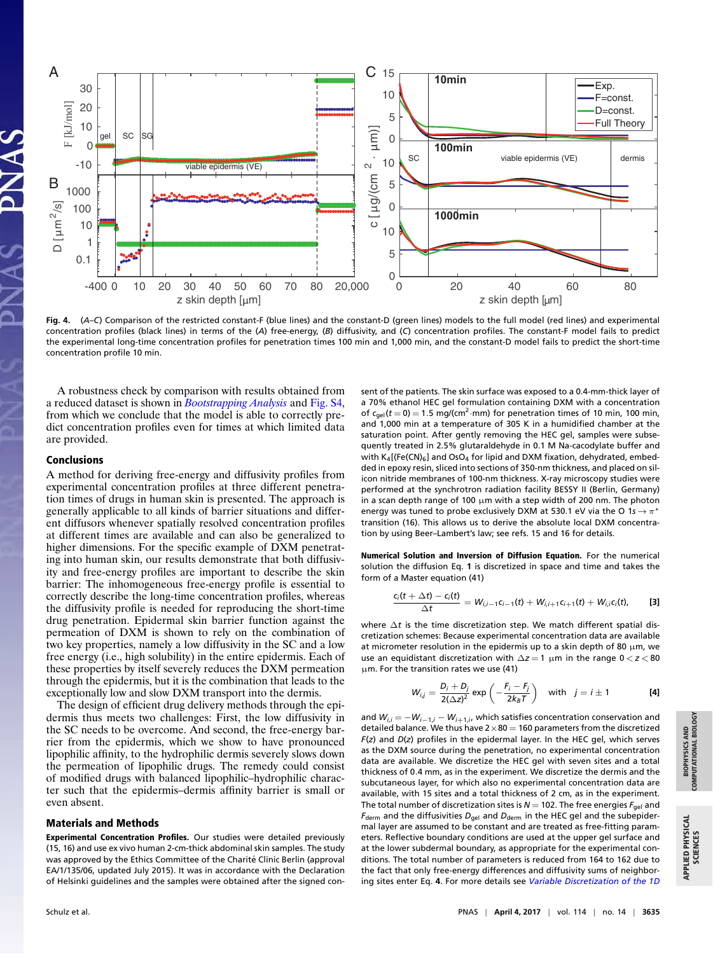

**Fig. 4.** (*A*–*C*) Comparison of the restricted constant-F (blue lines) and the constant-D (green lines) models to the full model (red lines) and experimental concentration profiles (black lines) in terms of the (*A*) free-energy, (*B*) diffusivity, and (*C*) concentration profiles. The constant-F model fails to predict the experimental long-time concentration profiles for penetration times 100 min and 1,000 min, and the constant-D model fails to predict the short-time concentration profile 10 min.

A robustness check by comparison with results obtained from a reduced dataset is shown in *[Bootstrapping Analysis](http://www.pnas.org/lookup/suppl/doi:10.1073/pnas.1620636114/-/DCSupplemental/pnas.201620636SI.pdf?targetid=nameddest=STXT)* and [Fig. S4,](http://www.pnas.org/lookup/suppl/doi:10.1073/pnas.1620636114/-/DCSupplemental/pnas.201620636SI.pdf?targetid=nameddest=SF4) from which we conclude that the model is able to correctly predict concentration profiles even for times at which limited data are provided.

### Conclusions

A method for deriving free-energy and diffusivity profiles from experimental concentration profiles at three different penetration times of drugs in human skin is presented. The approach is generally applicable to all kinds of barrier situations and different diffusors whenever spatially resolved concentration profiles at different times are available and can also be generalized to higher dimensions. For the specific example of DXM penetrating into human skin, our results demonstrate that both diffusivity and free-energy profiles are important to describe the skin barrier: The inhomogeneous free-energy profile is essential to correctly describe the long-time concentration profiles, whereas the diffusivity profile is needed for reproducing the short-time drug penetration. Epidermal skin barrier function against the permeation of DXM is shown to rely on the combination of two key properties, namely a low diffusivity in the SC and a low free energy (i.e., high solubility) in the entire epidermis. Each of these properties by itself severely reduces the DXM permeation through the epidermis, but it is the combination that leads to the exceptionally low and slow DXM transport into the dermis.

The design of efficient drug delivery methods through the epidermis thus meets two challenges: First, the low diffusivity in the SC needs to be overcome. And second, the free-energy barrier from the epidermis, which we show to have pronounced lipophilic affinity, to the hydrophilic dermis severely slows down the permeation of lipophilic drugs. The remedy could consist of modified drugs with balanced lipophilic–hydrophilic character such that the epidermis–dermis affinity barrier is small or even absent.

#### Materials and Methods

Experimental Concentration Profiles. Our studies were detailed previously (15, 16) and use ex vivo human 2-cm-thick abdominal skin samples. The study was approved by the Ethics Committee of the Charité Clinic Berlin (approval EA/1/135/06, updated July 2015). It was in accordance with the Declaration of Helsinki guidelines and the samples were obtained after the signed consent of the patients. The skin surface was exposed to a 0.4-mm-thick layer of a 70% ethanol HEC gel formulation containing DXM with a concentration of  $c_{gel}(t=0) = 1.5$  mg/(cm<sup>2</sup>·mm) for penetration times of 10 min, 100 min, and 1,000 min at a temperature of 305 K in a humidified chamber at the saturation point. After gently removing the HEC gel, samples were subsequently treated in 2.5% glutaraldehyde in 0.1 M Na-cacodylate buffer and with  $K_4$ [(Fe(CN)<sub>6</sub>] and OsO<sub>4</sub> for lipid and DXM fixation, dehydrated, embedded in epoxy resin, sliced into sections of 350-nm thickness, and placed on silicon nitride membranes of 100-nm thickness. X-ray microscopy studies were performed at the synchrotron radiation facility BESSY II (Berlin, Germany) in a scan depth range of 100  $\mu$ m with a step width of 200 nm. The photon energy was tuned to probe exclusively DXM at 530.1 eV via the O 1s  $\rightarrow \pi^{\star}$ transition (16). This allows us to derive the absolute local DXM concentration by using Beer–Lambert's law; see refs. 15 and 16 for details.

Numerical Solution and Inversion of Diffusion Equation. For the numerical solution the diffusion Eq. **1** is discretized in space and time and takes the form of a Master equation (41)

$$
\frac{c_i(t+\Delta t)-c_i(t)}{\Delta t}=W_{i,i-1}c_{i-1}(t)+W_{i,i+1}c_{i+1}(t)+W_{i,i}c_i(t),
$$
 [3]

where ∆*t* is the time discretization step. We match different spatial discretization schemes: Because experimental concentration data are available at micrometer resolution in the epidermis up to a skin depth of 80  $\mu$ m, we use an equidistant discretization with ∆*z* = 1 µm in the range 0 < *z* < 80 µm. For the transition rates we use (41)

$$
W_{i,j} = \frac{D_i + D_j}{2(\Delta z)^2} \exp\left(-\frac{F_i - F_j}{2k_B T}\right) \quad \text{with} \quad j = i \pm 1
$$
 [4]

and *Wi*,*<sup>i</sup>* = −*Wi*−1,*<sup>i</sup>* − *Wi*+1,*<sup>i</sup>* , which satisfies concentration conservation and detailed balance. We thus have  $2\times80 = 160$  parameters from the discretized *F*(*z*) and *D*(*z*) profiles in the epidermal layer. In the HEC gel, which serves as the DXM source during the penetration, no experimental concentration data are available. We discretize the HEC gel with seven sites and a total thickness of 0.4 mm, as in the experiment. We discretize the dermis and the subcutaneous layer, for which also no experimental concentration data are available, with 15 sites and a total thickness of 2 cm, as in the experiment. The total number of discretization sites is  $N = 102$ . The free energies  $F_{gel}$  and *F*<sub>derm</sub> and the diffusivities  $D_{gel}$  and  $D_{derm}$  in the HEC gel and the subepidermal layer are assumed to be constant and are treated as free-fitting parameters. Reflective boundary conditions are used at the upper gel surface and at the lower subdermal boundary, as appropriate for the experimental conditions. The total number of parameters is reduced from 164 to 162 due to the fact that only free-energy differences and diffusivity sums of neighboring sites enter Eq. **4**. For more details see *[Variable Discretization of the 1D](http://www.pnas.org/lookup/suppl/doi:10.1073/pnas.1620636114/-/DCSupplemental/pnas.201620636SI.pdf?targetid=nameddest=STXT)*

APPLIED PHYSICAL APPLIED PHYSICAL<br>SCIENCES